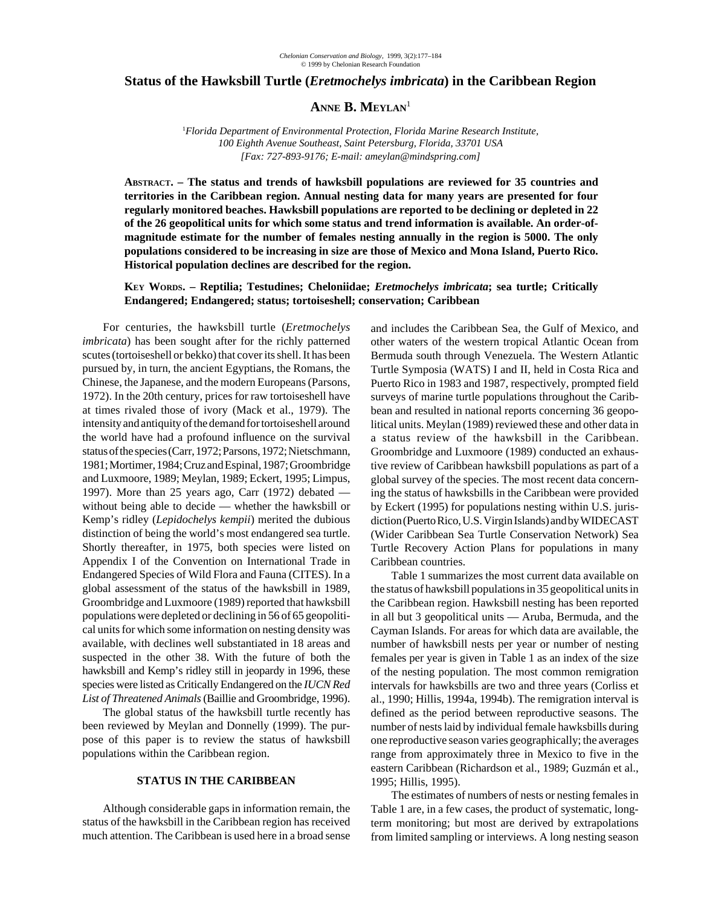### **Status of the Hawksbill Turtle (***Eretmochelys imbricata***) in the Caribbean Region**

# ANNE **B.** MEYLAN<sup>1</sup>

1 *Florida Department of Environmental Protection, Florida Marine Research Institute, 100 Eighth Avenue Southeast, Saint Petersburg, Florida, 33701 USA [Fax: 727-893-9176; E-mail: ameylan@mindspring.com]*

**ABSTRACT. – The status and trends of hawksbill populations are reviewed for 35 countries and territories in the Caribbean region. Annual nesting data for many years are presented for four regularly monitored beaches. Hawksbill populations are reported to be declining or depleted in 22 of the 26 geopolitical units for which some status and trend information is available. An order-ofmagnitude estimate for the number of females nesting annually in the region is 5000. The only populations considered to be increasing in size are those of Mexico and Mona Island, Puerto Rico. Historical population declines are described for the region.**

### **KEY WORDS. – Reptilia; Testudines; Cheloniidae;** *Eretmochelys imbricata***; sea turtle; Critically Endangered; Endangered; status; tortoiseshell; conservation; Caribbean**

For centuries, the hawksbill turtle (*Eretmochelys imbricata*) has been sought after for the richly patterned scutes (tortoiseshell or bekko) that cover its shell. It has been pursued by, in turn, the ancient Egyptians, the Romans, the Chinese, the Japanese, and the modern Europeans (Parsons, 1972). In the 20th century, prices for raw tortoiseshell have at times rivaled those of ivory (Mack et al., 1979). The intensity and antiquity of the demand for tortoiseshell around the world have had a profound influence on the survival status of the species (Carr, 1972; Parsons, 1972; Nietschmann, 1981; Mortimer, 1984; Cruz and Espinal, 1987; Groombridge and Luxmoore, 1989; Meylan, 1989; Eckert, 1995; Limpus, 1997). More than 25 years ago, Carr (1972) debated without being able to decide — whether the hawksbill or Kemp's ridley (*Lepidochelys kempii*) merited the dubious distinction of being the world's most endangered sea turtle. Shortly thereafter, in 1975, both species were listed on Appendix I of the Convention on International Trade in Endangered Species of Wild Flora and Fauna (CITES). In a global assessment of the status of the hawksbill in 1989, Groombridge and Luxmoore (1989) reported that hawksbill populations were depleted or declining in 56 of 65 geopolitical units for which some information on nesting density was available, with declines well substantiated in 18 areas and suspected in the other 38. With the future of both the hawksbill and Kemp's ridley still in jeopardy in 1996, these species were listed as Critically Endangered on the *IUCN Red List of Threatened Animals* (Baillie and Groombridge, 1996).

The global status of the hawksbill turtle recently has been reviewed by Meylan and Donnelly (1999). The purpose of this paper is to review the status of hawksbill populations within the Caribbean region.

## **STATUS IN THE CARIBBEAN**

Although considerable gaps in information remain, the status of the hawksbill in the Caribbean region has received much attention. The Caribbean is used here in a broad sense

and includes the Caribbean Sea, the Gulf of Mexico, and other waters of the western tropical Atlantic Ocean from Bermuda south through Venezuela. The Western Atlantic Turtle Symposia (WATS) I and II, held in Costa Rica and Puerto Rico in 1983 and 1987, respectively, prompted field surveys of marine turtle populations throughout the Caribbean and resulted in national reports concerning 36 geopolitical units. Meylan (1989) reviewed these and other data in a status review of the hawksbill in the Caribbean. Groombridge and Luxmoore (1989) conducted an exhaustive review of Caribbean hawksbill populations as part of a global survey of the species. The most recent data concerning the status of hawksbills in the Caribbean were provided by Eckert (1995) for populations nesting within U.S. jurisdiction (Puerto Rico, U.S. Virgin Islands) and by WIDECAST (Wider Caribbean Sea Turtle Conservation Network) Sea Turtle Recovery Action Plans for populations in many Caribbean countries.

Table 1 summarizes the most current data available on the status of hawksbill populations in 35 geopolitical units in the Caribbean region. Hawksbill nesting has been reported in all but 3 geopolitical units — Aruba, Bermuda, and the Cayman Islands. For areas for which data are available, the number of hawksbill nests per year or number of nesting females per year is given in Table 1 as an index of the size of the nesting population. The most common remigration intervals for hawksbills are two and three years (Corliss et al., 1990; Hillis, 1994a, 1994b). The remigration interval is defined as the period between reproductive seasons. The number of nests laid by individual female hawksbills during one reproductive season varies geographically; the averages range from approximately three in Mexico to five in the eastern Caribbean (Richardson et al., 1989; Guzmán et al., 1995; Hillis, 1995).

The estimates of numbers of nests or nesting females in Table 1 are, in a few cases, the product of systematic, longterm monitoring; but most are derived by extrapolations from limited sampling or interviews. A long nesting season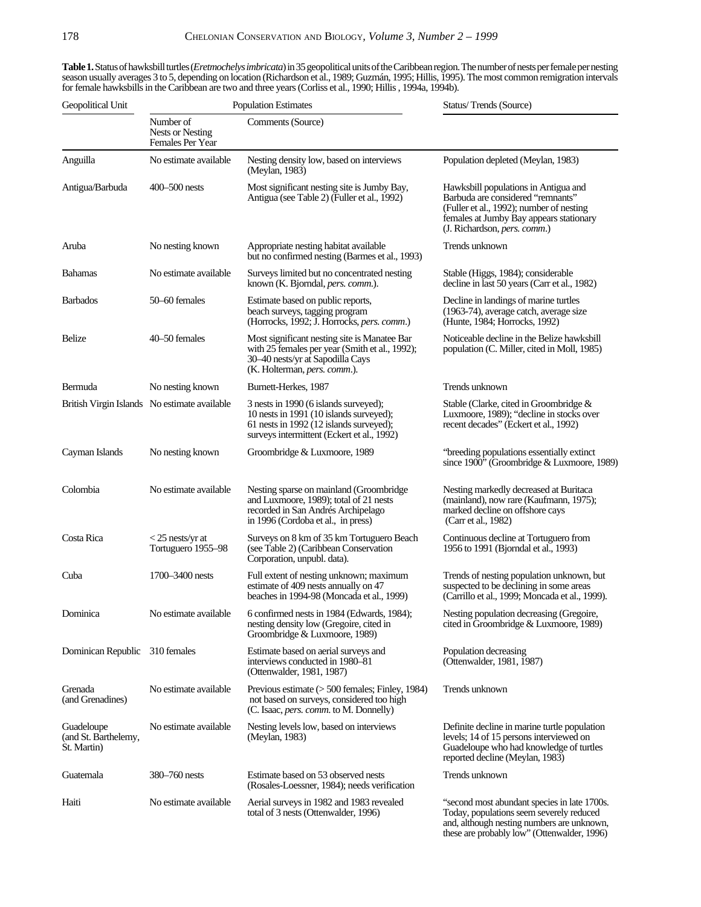**Table 1.** Status of hawksbill turtles (*Eretmochelys imbricata*) in 35 geopolitical units of the Caribbean region. The number of nests per female per nesting season usually averages 3 to 5, depending on location (Richardson et al., 1989; Guzmán, 1995; Hillis, 1995). The most common remigration intervals for female hawksbills in the Caribbean are two and three years (Corliss et al., 1990; Hillis , 1994a, 1994b).

| Geopolitical Unit                                 | <b>Population Estimates</b>                       |                                                                                                                                                                           | Status/Trends (Source)                                                                                                                                                                           |  |
|---------------------------------------------------|---------------------------------------------------|---------------------------------------------------------------------------------------------------------------------------------------------------------------------------|--------------------------------------------------------------------------------------------------------------------------------------------------------------------------------------------------|--|
|                                                   | Number of<br>Nests or Nesting<br>Females Per Year | Comments (Source)                                                                                                                                                         |                                                                                                                                                                                                  |  |
| Anguilla                                          | No estimate available                             | Nesting density low, based on interviews<br>(Meylan, 1983)                                                                                                                | Population depleted (Meylan, 1983)                                                                                                                                                               |  |
| Antigua/Barbuda                                   | $400 - 500$ nests                                 | Most significant nesting site is Jumby Bay,<br>Antigua (see Table 2) (Fuller et al., 1992)                                                                                | Hawksbill populations in Antigua and<br>Barbuda are considered "remnants"<br>(Fuller et al., 1992); number of nesting<br>females at Jumby Bay appears stationary<br>(J. Richardson, pers. comm.) |  |
| Aruba                                             | No nesting known                                  | Appropriate nesting habitat available<br>but no confirmed nesting (Barmes et al., 1993)                                                                                   | Trends unknown                                                                                                                                                                                   |  |
| <b>Bahamas</b>                                    | No estimate available                             | Surveys limited but no concentrated nesting<br>known (K. Bjorndal, pers. comm.).                                                                                          | Stable (Higgs, 1984); considerable<br>decline in last 50 years (Carr et al., 1982)                                                                                                               |  |
| <b>Barbados</b>                                   | 50-60 females                                     | Estimate based on public reports,<br>beach surveys, tagging program<br>(Horrocks, 1992; J. Horrocks, pers. comm.)                                                         | Decline in landings of marine turtles<br>(1963-74), average catch, average size<br>(Hunte, 1984; Horrocks, 1992)                                                                                 |  |
| Belize                                            | 40–50 females                                     | Most significant nesting site is Manatee Bar<br>with 25 females per year (Smith et al., 1992);<br>30–40 nests/yr at Sapodilla Cays<br>(K. Holterman, pers. comm.).        | Noticeable decline in the Belize hawksbill<br>population (C. Miller, cited in Moll, 1985)                                                                                                        |  |
| Bermuda                                           | No nesting known                                  | Burnett-Herkes, 1987                                                                                                                                                      | Trends unknown                                                                                                                                                                                   |  |
|                                                   | British Virgin Islands No estimate available      | 3 nests in 1990 (6 islands surveyed);<br>10 nests in 1991 (10 islands surveyed);<br>61 nests in 1992 (12 islands surveyed);<br>surveys intermittent (Eckert et al., 1992) | Stable (Clarke, cited in Groombridge &<br>Luxmoore, 1989); "decline in stocks over<br>recent decades" (Eckert et al., 1992)                                                                      |  |
| Cayman Islands                                    | No nesting known                                  | Groombridge & Luxmoore, 1989                                                                                                                                              | "breeding populations essentially extinct<br>since 1900" (Groombridge & Luxmoore, 1989)                                                                                                          |  |
| Colombia                                          | No estimate available                             | Nesting sparse on mainland (Groombridge<br>and Luxmoore, 1989); total of 21 nests<br>recorded in San Andrés Archipelago<br>in 1996 (Cordoba et al., in press)             | Nesting markedly decreased at Buritaca<br>(mainland), now rare (Kaufmann, 1975);<br>marked decline on offshore cays<br>(Carr et al., 1982)                                                       |  |
| Costa Rica                                        | $<$ 25 nests/yr at<br>Tortuguero 1955-98          | Surveys on 8 km of 35 km Tortuguero Beach<br>(see Table 2) (Caribbean Conservation<br>Corporation, unpubl. data).                                                         | Continuous decline at Tortuguero from<br>1956 to 1991 (Bjorndal et al., 1993)                                                                                                                    |  |
| Cuba                                              | 1700–3400 nests                                   | Full extent of nesting unknown; maximum<br>estimate of 409 nests annually on 47<br>beaches in 1994-98 (Moncada et al., 1999)                                              | Trends of nesting population unknown, but<br>suspected to be declining in some areas<br>(Carrillo et al., 1999; Moncada et al., 1999).                                                           |  |
| Dominica                                          | No estimate available                             | 6 confirmed nests in 1984 (Edwards, 1984);<br>nesting density low (Gregoire, cited in<br>Groombridge & Luxmoore, 1989)                                                    | Nesting population decreasing (Gregoire,<br>cited in Groombridge & Luxmoore, 1989)                                                                                                               |  |
| Dominican Republic                                | 310 females                                       | Estimate based on aerial surveys and<br>interviews conducted in 1980–81<br>(Ottenwalder, 1981, 1987)                                                                      | Population decreasing<br>(Ottenwalder, 1981, 1987)                                                                                                                                               |  |
| Grenada<br>(and Grenadines)                       | No estimate available                             | Previous estimate $($ > 500 females; Finley, 1984)<br>not based on surveys, considered too high<br>(C. Isaac, <i>pers. comm.</i> to M. Donnelly)                          | Trends unknown                                                                                                                                                                                   |  |
| Guadeloupe<br>(and St. Barthelemy,<br>St. Martin) | No estimate available                             | Nesting levels low, based on interviews<br>(Meylan, 1983)                                                                                                                 | Definite decline in marine turtle population<br>levels; 14 of 15 persons interviewed on<br>Guadeloupe who had knowledge of turtles<br>reported decline (Meylan, 1983)                            |  |
| Guatemala                                         | 380–760 nests                                     | Estimate based on 53 observed nests<br>(Rosales-Loessner, 1984); needs verification                                                                                       | Trends unknown                                                                                                                                                                                   |  |
| Haiti                                             | No estimate available                             | Aerial surveys in 1982 and 1983 revealed<br>total of 3 nests (Ottenwalder, 1996)                                                                                          | "second most abundant species in late 1700s.<br>Today, populations seem severely reduced<br>and, although nesting numbers are unknown,                                                           |  |

these are probably low" (Ottenwalder, 1996)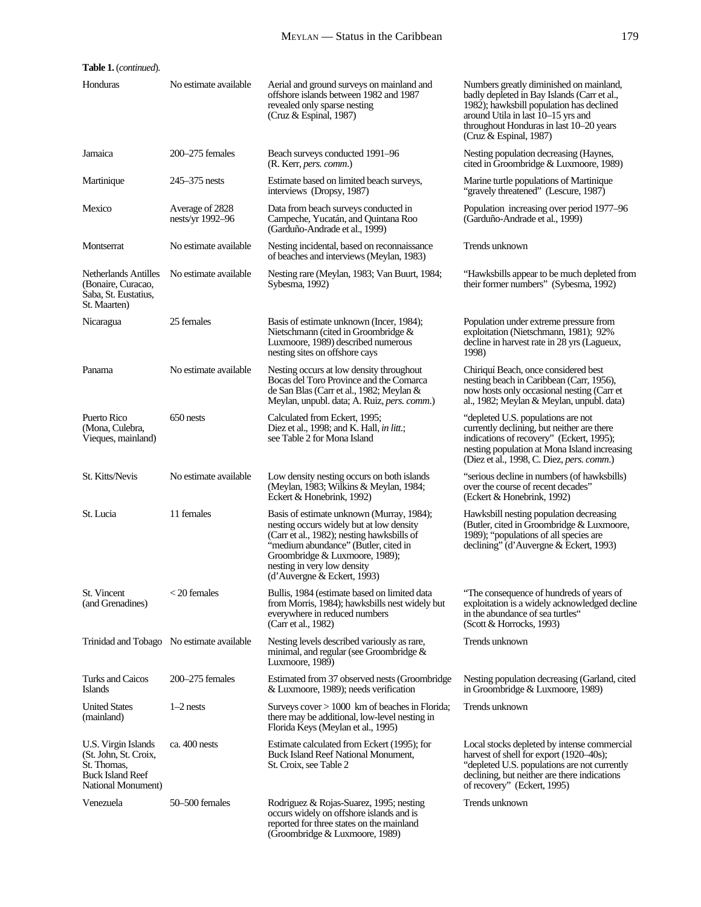| Table 1. (continued).                                                                                        |                                           |                                                                                                                                                                                                                                                                             |                                                                                                                                                                                                                                                 |  |
|--------------------------------------------------------------------------------------------------------------|-------------------------------------------|-----------------------------------------------------------------------------------------------------------------------------------------------------------------------------------------------------------------------------------------------------------------------------|-------------------------------------------------------------------------------------------------------------------------------------------------------------------------------------------------------------------------------------------------|--|
| Honduras                                                                                                     | No estimate available                     | Aerial and ground surveys on mainland and<br>offshore islands between 1982 and 1987<br>revealed only sparse nesting<br>(Cruz $&$ Espinal, 1987)                                                                                                                             | Numbers greatly diminished on mainland,<br>badly depleted in Bay Islands (Carr et al.,<br>1982); hawksbill population has declined<br>around Utila in last 10-15 yrs and<br>throughout Honduras in last 10–20 years<br>(Cruz $&$ Espinal, 1987) |  |
| Jamaica                                                                                                      | $200 - 275$ females                       | Beach surveys conducted 1991–96<br>(R. Kerr, <i>pers. comm.</i> )                                                                                                                                                                                                           | Nesting population decreasing (Haynes,<br>cited in Groombridge & Luxmoore, 1989)                                                                                                                                                                |  |
| Martinique                                                                                                   | $245 - 375$ nests                         | Estimate based on limited beach surveys,<br>interviews (Dropsy, 1987)                                                                                                                                                                                                       | Marine turtle populations of Martinique<br>"gravely threatened" (Lescure, 1987)                                                                                                                                                                 |  |
| Mexico                                                                                                       | Average of 2828<br>nests/yr 1992-96       | Data from beach surveys conducted in<br>Campeche, Yucatán, and Quintana Roo<br>(Garduño-Andrade et al., 1999)                                                                                                                                                               | Population increasing over period 1977–96<br>(Garduño-Andrade et al., 1999)                                                                                                                                                                     |  |
| Montserrat                                                                                                   | No estimate available                     | Nesting incidental, based on reconnaissance<br>of beaches and interviews (Meylan, 1983)                                                                                                                                                                                     | Trends unknown                                                                                                                                                                                                                                  |  |
| <b>Netherlands Antilles</b><br>(Bonaire, Curacao,<br>Saba, St. Eustatius,<br>St. Maarten)                    | No estimate available                     | Nesting rare (Meylan, 1983; Van Buurt, 1984;<br>Sybesma, 1992)                                                                                                                                                                                                              | "Hawksbills appear to be much depleted from<br>their former numbers" (Sybesma, 1992)                                                                                                                                                            |  |
| Nicaragua                                                                                                    | 25 females                                | Basis of estimate unknown (Incer, 1984);<br>Nietschmann (cited in Groombridge $\&$<br>Luxmoore, 1989) described numerous<br>nesting sites on offshore cays                                                                                                                  | Population under extreme pressure from<br>exploitation (Nietschmann, 1981); 92%<br>decline in harvest rate in 28 yrs (Lagueux,<br>1998)                                                                                                         |  |
| Panama                                                                                                       | No estimate available                     | Nesting occurs at low density throughout<br>Bocas del Toro Province and the Comarca<br>de San Blas (Carr et al., 1982; Meylan &<br>Meylan, unpubl. data; A. Ruiz, <i>pers. comm.</i> )                                                                                      | Chiriquí Beach, once considered best<br>nesting beach in Caribbean (Carr, 1956),<br>now hosts only occasional nesting (Carr et<br>al., 1982; Meylan & Meylan, unpubl. data)                                                                     |  |
| Puerto Rico<br>(Mona, Culebra,<br>Vieques, mainland)                                                         | 650 nests                                 | Calculated from Eckert, 1995;<br>Diez et al., 1998; and K. Hall, in litt.;<br>see Table 2 for Mona Island                                                                                                                                                                   | "depleted U.S. populations are not<br>currently declining, but neither are there<br>indications of recovery" (Eckert, 1995);<br>nesting population at Mona Island increasing<br>(Diez et al., 1998, C. Diez, <i>pers. comm.</i> )               |  |
| St. Kitts/Nevis                                                                                              | No estimate available                     | Low density nesting occurs on both islands<br>(Meylan, 1983; Wilkins & Meylan, 1984;<br>Eckert & Honebrink, 1992)                                                                                                                                                           | "serious decline in numbers (of hawksbills)<br>over the course of recent decades"<br>(Eckert & Honebrink, 1992)                                                                                                                                 |  |
| St. Lucia                                                                                                    | 11 females                                | Basis of estimate unknown (Murray, 1984);<br>nesting occurs widely but at low density<br>(Carr et al., 1982); nesting hawksbills of<br>"medium abundance" (Butler, cited in<br>Groombridge & Luxmoore, 1989);<br>nesting in very low density<br>(d'Auvergne & Eckert, 1993) | Hawksbill nesting population decreasing<br>(Butler, cited in Groombridge & Luxmoore,<br>1989); "populations of all species are<br>declining" (d'Auvergne & Eckert, 1993)                                                                        |  |
| St. Vincent<br>(and Grenadines)                                                                              | $<$ 20 females                            | Bullis, 1984 (estimate based on limited data<br>from Morris, 1984); hawksbills nest widely but<br>everywhere in reduced numbers<br>(Carr et al., 1982)                                                                                                                      | "The consequence of hundreds of years of<br>exploitation is a widely acknowledged decline<br>in the abundance of sea turtles"<br>(Scott & Horrocks, 1993)                                                                                       |  |
|                                                                                                              | Trinidad and Tobago No estimate available | Nesting levels described variously as rare,<br>minimal, and regular (see Groombridge $\&$<br>Luxmoore, 1989)                                                                                                                                                                | Trends unknown                                                                                                                                                                                                                                  |  |
| Turks and Caicos<br><b>Islands</b>                                                                           | 200–275 females                           | Estimated from 37 observed nests (Groombridge<br>& Luxmoore, 1989); needs verification                                                                                                                                                                                      | Nesting population decreasing (Garland, cited<br>in Groombridge & Luxmoore, 1989)                                                                                                                                                               |  |
| <b>United States</b><br>(mainland)                                                                           | $1-2$ nests                               | Surveys $cover > 1000$ km of beaches in Florida;<br>there may be additional, low-level nesting in<br>Florida Keys (Meylan et al., 1995)                                                                                                                                     | Trends unknown                                                                                                                                                                                                                                  |  |
| U.S. Virgin Islands<br>(St. John, St. Croix,<br>St. Thomas,<br><b>Buck Island Reef</b><br>National Monument) | ca. 400 nests                             | Estimate calculated from Eckert (1995); for<br><b>Buck Island Reef National Monument,</b><br>St. Croix, see Table 2                                                                                                                                                         | Local stocks depleted by intense commercial<br>harvest of shell for export (1920–40s);<br>"depleted U.S. populations are not currently<br>declining, but neither are there indications<br>of recovery" (Eckert, 1995)                           |  |
| Venezuela                                                                                                    | 50–500 females                            | Rodriguez & Rojas-Suarez, 1995; nesting<br>occurs widely on offshore islands and is<br>reported for three states on the mainland<br>(Groombridge & Luxmoore, 1989)                                                                                                          | Trends unknown                                                                                                                                                                                                                                  |  |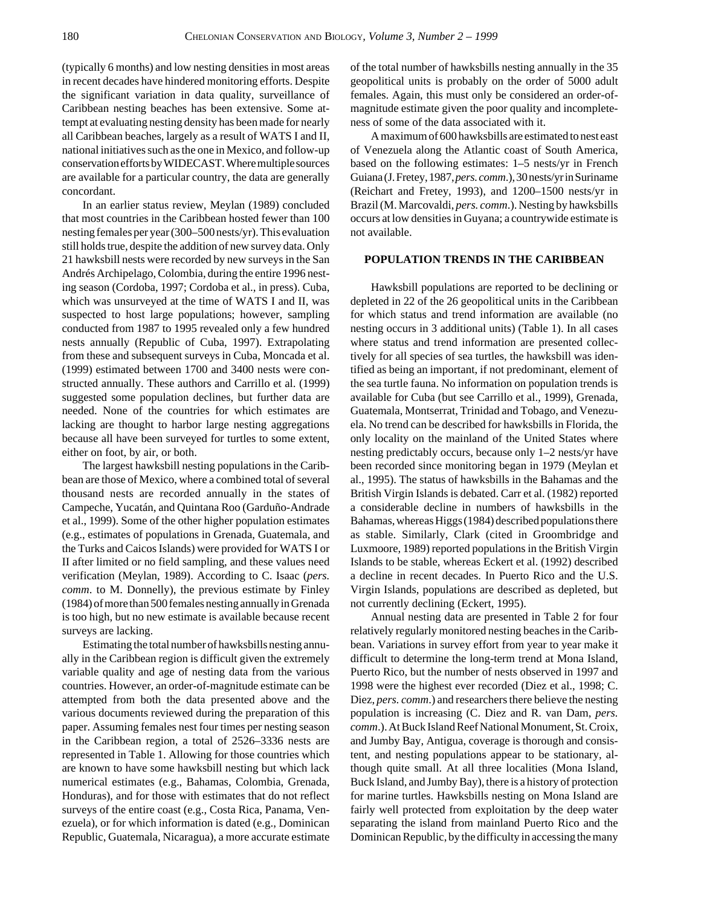(typically 6 months) and low nesting densities in most areas in recent decades have hindered monitoring efforts. Despite the significant variation in data quality, surveillance of Caribbean nesting beaches has been extensive. Some attempt at evaluating nesting density has been made for nearly all Caribbean beaches, largely as a result of WATS I and II, national initiatives such as the one in Mexico, and follow-up conservation efforts by WIDECAST. Where multiple sources are available for a particular country, the data are generally concordant.

In an earlier status review, Meylan (1989) concluded that most countries in the Caribbean hosted fewer than 100 nesting females per year (300–500 nests/yr). This evaluation still holds true, despite the addition of new survey data. Only 21 hawksbill nests were recorded by new surveys in the San Andrés Archipelago, Colombia, during the entire 1996 nesting season (Cordoba, 1997; Cordoba et al., in press). Cuba, which was unsurveyed at the time of WATS I and II, was suspected to host large populations; however, sampling conducted from 1987 to 1995 revealed only a few hundred nests annually (Republic of Cuba, 1997). Extrapolating from these and subsequent surveys in Cuba, Moncada et al. (1999) estimated between 1700 and 3400 nests were constructed annually. These authors and Carrillo et al. (1999) suggested some population declines, but further data are needed. None of the countries for which estimates are lacking are thought to harbor large nesting aggregations because all have been surveyed for turtles to some extent, either on foot, by air, or both.

The largest hawksbill nesting populations in the Caribbean are those of Mexico, where a combined total of several thousand nests are recorded annually in the states of Campeche, Yucatán, and Quintana Roo (Garduño-Andrade et al., 1999). Some of the other higher population estimates (e.g., estimates of populations in Grenada, Guatemala, and the Turks and Caicos Islands) were provided for WATS I or II after limited or no field sampling, and these values need verification (Meylan, 1989). According to C. Isaac (*pers. comm*. to M. Donnelly), the previous estimate by Finley (1984) of more than 500 females nesting annually in Grenada is too high, but no new estimate is available because recent surveys are lacking.

Estimating the total number of hawksbills nesting annually in the Caribbean region is difficult given the extremely variable quality and age of nesting data from the various countries. However, an order-of-magnitude estimate can be attempted from both the data presented above and the various documents reviewed during the preparation of this paper. Assuming females nest four times per nesting season in the Caribbean region, a total of 2526–3336 nests are represented in Table 1. Allowing for those countries which are known to have some hawksbill nesting but which lack numerical estimates (e.g., Bahamas, Colombia, Grenada, Honduras), and for those with estimates that do not reflect surveys of the entire coast (e.g., Costa Rica, Panama, Venezuela), or for which information is dated (e.g., Dominican Republic, Guatemala, Nicaragua), a more accurate estimate

of the total number of hawksbills nesting annually in the 35 geopolitical units is probably on the order of 5000 adult females. Again, this must only be considered an order-ofmagnitude estimate given the poor quality and incompleteness of some of the data associated with it.

A maximum of 600 hawksbills are estimated to nest east of Venezuela along the Atlantic coast of South America, based on the following estimates: 1–5 nests/yr in French Guiana (J. Fretey, 1987, *pers. comm*.), 30 nests/yr in Suriname (Reichart and Fretey, 1993), and 1200–1500 nests/yr in Brazil (M. Marcovaldi, *pers. comm*.). Nesting by hawksbills occurs at low densities in Guyana; a countrywide estimate is not available.

### **POPULATION TRENDS IN THE CARIBBEAN**

Hawksbill populations are reported to be declining or depleted in 22 of the 26 geopolitical units in the Caribbean for which status and trend information are available (no nesting occurs in 3 additional units) (Table 1). In all cases where status and trend information are presented collectively for all species of sea turtles, the hawksbill was identified as being an important, if not predominant, element of the sea turtle fauna. No information on population trends is available for Cuba (but see Carrillo et al., 1999), Grenada, Guatemala, Montserrat, Trinidad and Tobago, and Venezuela. No trend can be described for hawksbills in Florida, the only locality on the mainland of the United States where nesting predictably occurs, because only 1–2 nests/yr have been recorded since monitoring began in 1979 (Meylan et al., 1995). The status of hawksbills in the Bahamas and the British Virgin Islands is debated. Carr et al. (1982) reported a considerable decline in numbers of hawksbills in the Bahamas, whereas Higgs (1984) described populations there as stable. Similarly, Clark (cited in Groombridge and Luxmoore, 1989) reported populations in the British Virgin Islands to be stable, whereas Eckert et al. (1992) described a decline in recent decades. In Puerto Rico and the U.S. Virgin Islands, populations are described as depleted, but not currently declining (Eckert, 1995).

Annual nesting data are presented in Table 2 for four relatively regularly monitored nesting beaches in the Caribbean. Variations in survey effort from year to year make it difficult to determine the long-term trend at Mona Island, Puerto Rico, but the number of nests observed in 1997 and 1998 were the highest ever recorded (Diez et al., 1998; C. Diez, *pers. comm*.) and researchers there believe the nesting population is increasing (C. Diez and R. van Dam, *pers. comm*.). At Buck Island Reef National Monument, St. Croix, and Jumby Bay, Antigua, coverage is thorough and consistent, and nesting populations appear to be stationary, although quite small. At all three localities (Mona Island, Buck Island, and Jumby Bay), there is a history of protection for marine turtles. Hawksbills nesting on Mona Island are fairly well protected from exploitation by the deep water separating the island from mainland Puerto Rico and the Dominican Republic, by the difficulty in accessing the many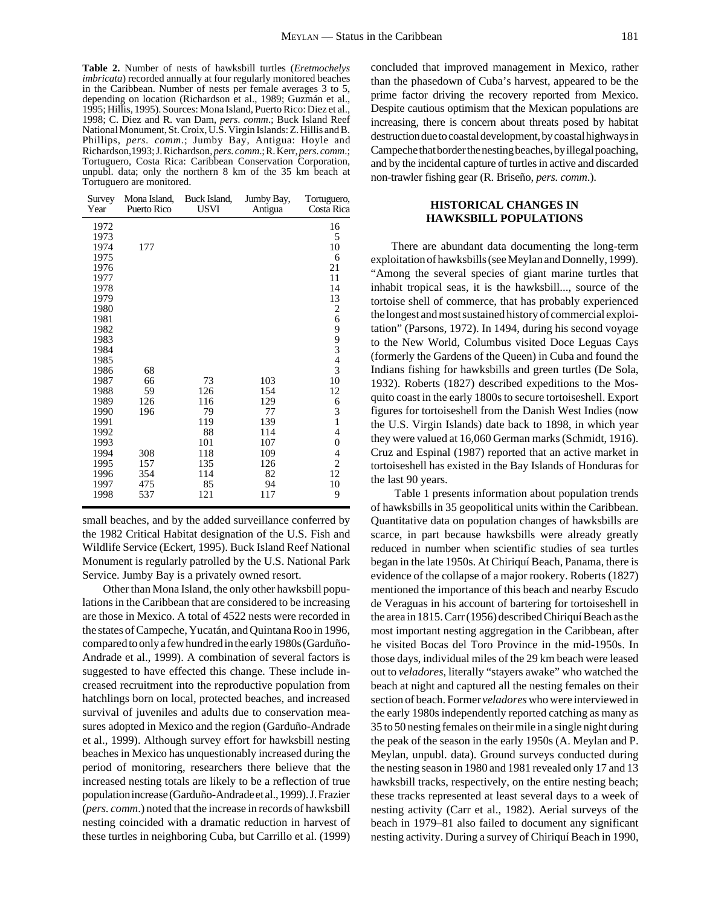**Table 2.** Number of nests of hawksbill turtles (*Eretmochelys imbricata*) recorded annually at four regularly monitored beaches in the Caribbean. Number of nests per female averages 3 to 5, depending on location (Richardson et al., 1989; Guzmán et al., 1995; Hillis, 1995). Sources: Mona Island, Puerto Rico: Diez et al., 1998; C. Diez and R. van Dam, *pers*. *comm*.; Buck Island Reef National Monument, St. Croix, U.S. Virgin Islands: Z.Hillis and B. Phillips, *pers. comm*.; Jumby Bay, Antigua: Hoyle and Richardson,1993; J. Richardson, *pers. comm*.; R. Kerr, *pers. comm*.; Tortuguero, Costa Rica: Caribbean Conservation Corporation, unpubl. data; only the northern 8 km of the 35 km beach at Tortuguero are monitored.

| Survey<br>Year | Mona Island,<br>Puerto Rico | Buck Island,<br><b>USVI</b> | Jumby Bay,<br>Antigua | Tortuguero,<br>Costa Rica             |
|----------------|-----------------------------|-----------------------------|-----------------------|---------------------------------------|
| 1972           |                             |                             |                       | 16                                    |
| 1973           |                             |                             |                       | 5                                     |
| 1974           | 177                         |                             |                       | 10                                    |
| 1975           |                             |                             |                       | 6                                     |
| 1976           |                             |                             |                       | 21                                    |
| 1977           |                             |                             |                       | 11                                    |
| 1978           |                             |                             |                       | 14                                    |
| 1979           |                             |                             |                       | 13                                    |
| 1980           |                             |                             |                       | $\begin{array}{c} 2 \\ 6 \end{array}$ |
| 1981           |                             |                             |                       |                                       |
| 1982           |                             |                             |                       |                                       |
| 1983           |                             |                             |                       | 99343                                 |
| 1984           |                             |                             |                       |                                       |
| 1985           |                             |                             |                       |                                       |
| 1986           | 68                          |                             |                       |                                       |
| 1987           | 66                          | 73                          | 103                   | 10                                    |
| 1988           | 59<br>126                   | 126                         | 154                   | 12                                    |
| 1989<br>1990   | 196                         | 116<br>79                   | 129<br>77             | 6                                     |
| 1991           |                             | 119                         | 139                   | $\frac{3}{1}$                         |
| 1992           |                             | 88                          | 114                   | 4                                     |
| 1993           |                             | 101                         | 107                   | $\boldsymbol{0}$                      |
| 1994           | 308                         | 118                         | 109                   | 4                                     |
| 1995           | 157                         | 135                         | 126                   | $\overline{2}$                        |
| 1996           | 354                         | 114                         | 82                    | 12                                    |
| 1997           | 475                         | 85                          | 94                    | 10                                    |
| 1998           | 537                         | 121                         | 117                   | 9                                     |
|                |                             |                             |                       |                                       |

small beaches, and by the added surveillance conferred by the 1982 Critical Habitat designation of the U.S. Fish and Wildlife Service (Eckert, 1995). Buck Island Reef National Monument is regularly patrolled by the U.S. National Park Service. Jumby Bay is a privately owned resort.

Other than Mona Island, the only other hawksbill populations in the Caribbean that are considered to be increasing are those in Mexico. A total of 4522 nests were recorded in the states of Campeche, Yucatán, and Quintana Roo in 1996, compared to only a few hundred in the early 1980s (Garduño-Andrade et al., 1999). A combination of several factors is suggested to have effected this change. These include increased recruitment into the reproductive population from hatchlings born on local, protected beaches, and increased survival of juveniles and adults due to conservation measures adopted in Mexico and the region (Garduño-Andrade et al., 1999). Although survey effort for hawksbill nesting beaches in Mexico has unquestionably increased during the period of monitoring, researchers there believe that the increased nesting totals are likely to be a reflection of true population increase (Garduño-Andrade et al., 1999). J. Frazier (*pers. comm*.) noted that the increase in records of hawksbill nesting coincided with a dramatic reduction in harvest of these turtles in neighboring Cuba, but Carrillo et al. (1999)

concluded that improved management in Mexico, rather than the phasedown of Cuba's harvest, appeared to be the prime factor driving the recovery reported from Mexico. Despite cautious optimism that the Mexican populations are increasing, there is concern about threats posed by habitat destruction due to coastal development, by coastal highways in Campeche that border the nesting beaches, by illegal poaching, and by the incidental capture of turtles in active and discarded non-trawler fishing gear (R. Briseño, *pers. comm*.).

### **HISTORICAL CHANGES IN HAWKSBILL POPULATIONS**

There are abundant data documenting the long-term exploitation of hawksbills (see Meylan and Donnelly, 1999). "Among the several species of giant marine turtles that inhabit tropical seas, it is the hawksbill..., source of the tortoise shell of commerce, that has probably experienced the longest and most sustained history of commercial exploitation" (Parsons, 1972). In 1494, during his second voyage to the New World, Columbus visited Doce Leguas Cays (formerly the Gardens of the Queen) in Cuba and found the Indians fishing for hawksbills and green turtles (De Sola, 1932). Roberts (1827) described expeditions to the Mosquito coast in the early 1800s to secure tortoiseshell. Export figures for tortoiseshell from the Danish West Indies (now the U.S. Virgin Islands) date back to 1898, in which year they were valued at 16,060 German marks (Schmidt, 1916). Cruz and Espinal (1987) reported that an active market in tortoiseshell has existed in the Bay Islands of Honduras for the last 90 years.

 Table 1 presents information about population trends of hawksbills in 35 geopolitical units within the Caribbean. Quantitative data on population changes of hawksbills are scarce, in part because hawksbills were already greatly reduced in number when scientific studies of sea turtles began in the late 1950s. At Chiriquí Beach, Panama, there is evidence of the collapse of a major rookery. Roberts (1827) mentioned the importance of this beach and nearby Escudo de Veraguas in his account of bartering for tortoiseshell in the area in 1815. Carr (1956) described Chiriquí Beach as the most important nesting aggregation in the Caribbean, after he visited Bocas del Toro Province in the mid-1950s. In those days, individual miles of the 29 km beach were leased out to *veladores*, literally "stayers awake" who watched the beach at night and captured all the nesting females on their section of beach. Former *veladores* who were interviewed in the early 1980s independently reported catching as many as 35 to 50 nesting females on their mile in a single night during the peak of the season in the early 1950s (A. Meylan and P. Meylan, unpubl. data). Ground surveys conducted during the nesting season in 1980 and 1981 revealed only 17 and 13 hawksbill tracks, respectively, on the entire nesting beach; these tracks represented at least several days to a week of nesting activity (Carr et al., 1982). Aerial surveys of the beach in 1979–81 also failed to document any significant nesting activity. During a survey of Chiriquí Beach in 1990,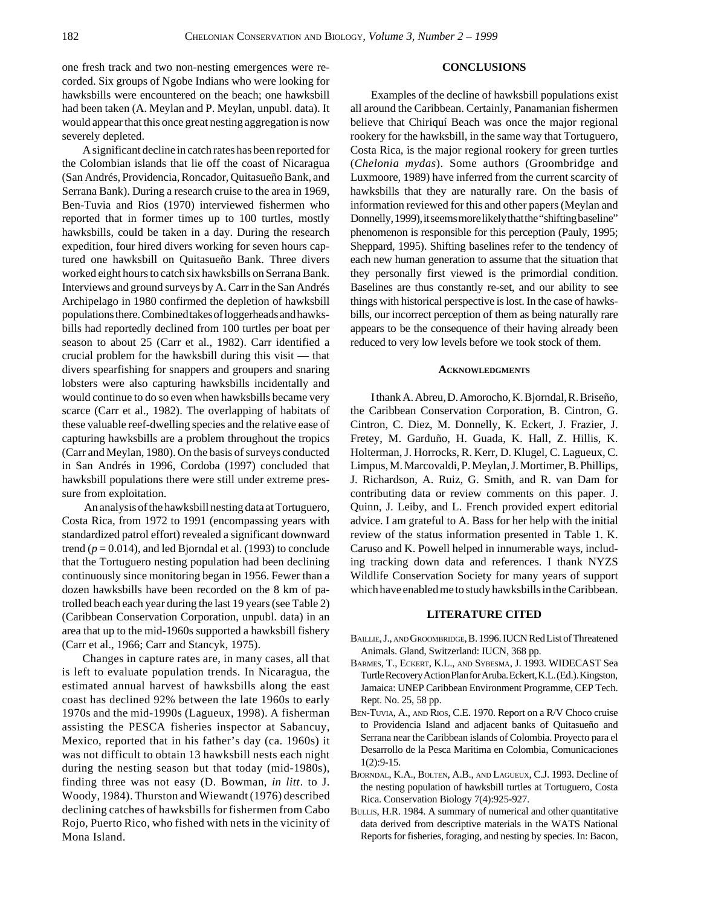one fresh track and two non-nesting emergences were recorded. Six groups of Ngobe Indians who were looking for hawksbills were encountered on the beach; one hawksbill had been taken (A. Meylan and P. Meylan, unpubl. data). It would appear that this once great nesting aggregation is now severely depleted.

A significant decline in catch rates has been reported for the Colombian islands that lie off the coast of Nicaragua (San Andrés, Providencia, Roncador, Quitasueño Bank, and Serrana Bank). During a research cruise to the area in 1969, Ben-Tuvia and Rios (1970) interviewed fishermen who reported that in former times up to 100 turtles, mostly hawksbills, could be taken in a day. During the research expedition, four hired divers working for seven hours captured one hawksbill on Quitasueño Bank. Three divers worked eight hours to catch six hawksbills on Serrana Bank. Interviews and ground surveys by A. Carr in the San Andrés Archipelago in 1980 confirmed the depletion of hawksbill populations there. Combined takes of loggerheads and hawksbills had reportedly declined from 100 turtles per boat per season to about 25 (Carr et al., 1982). Carr identified a crucial problem for the hawksbill during this visit — that divers spearfishing for snappers and groupers and snaring lobsters were also capturing hawksbills incidentally and would continue to do so even when hawksbills became very scarce (Carr et al., 1982). The overlapping of habitats of these valuable reef-dwelling species and the relative ease of capturing hawksbills are a problem throughout the tropics (Carr and Meylan, 1980). On the basis of surveys conducted in San Andrés in 1996, Cordoba (1997) concluded that hawksbill populations there were still under extreme pressure from exploitation.

 An analysis of the hawksbill nesting data at Tortuguero, Costa Rica, from 1972 to 1991 (encompassing years with standardized patrol effort) revealed a significant downward trend ( $p = 0.014$ ), and led Bjorndal et al. (1993) to conclude that the Tortuguero nesting population had been declining continuously since monitoring began in 1956. Fewer than a dozen hawksbills have been recorded on the 8 km of patrolled beach each year during the last 19 years (see Table 2) (Caribbean Conservation Corporation, unpubl. data) in an area that up to the mid-1960s supported a hawksbill fishery (Carr et al., 1966; Carr and Stancyk, 1975).

Changes in capture rates are, in many cases, all that is left to evaluate population trends. In Nicaragua, the estimated annual harvest of hawksbills along the east coast has declined 92% between the late 1960s to early 1970s and the mid-1990s (Lagueux, 1998). A fisherman assisting the PESCA fisheries inspector at Sabancuy, Mexico, reported that in his father's day (ca. 1960s) it was not difficult to obtain 13 hawksbill nests each night during the nesting season but that today (mid-1980s), finding three was not easy (D. Bowman, *in litt*. to J. Woody, 1984). Thurston and Wiewandt (1976) described declining catches of hawksbills for fishermen from Cabo Rojo, Puerto Rico, who fished with nets in the vicinity of Mona Island.

### **CONCLUSIONS**

Examples of the decline of hawksbill populations exist all around the Caribbean. Certainly, Panamanian fishermen believe that Chiriquí Beach was once the major regional rookery for the hawksbill, in the same way that Tortuguero, Costa Rica, is the major regional rookery for green turtles (*Chelonia mydas*). Some authors (Groombridge and Luxmoore, 1989) have inferred from the current scarcity of hawksbills that they are naturally rare. On the basis of information reviewed for this and other papers (Meylan and Donnelly, 1999), it seems more likely that the "shifting baseline" phenomenon is responsible for this perception (Pauly, 1995; Sheppard, 1995). Shifting baselines refer to the tendency of each new human generation to assume that the situation that they personally first viewed is the primordial condition. Baselines are thus constantly re-set, and our ability to see things with historical perspective is lost. In the case of hawksbills, our incorrect perception of them as being naturally rare appears to be the consequence of their having already been reduced to very low levels before we took stock of them.

#### **ACKNOWLEDGMENTS**

I thank A. Abreu, D. Amorocho, K. Bjorndal, R. Briseño, the Caribbean Conservation Corporation, B. Cintron, G. Cintron, C. Diez, M. Donnelly, K. Eckert, J. Frazier, J. Fretey, M. Garduño, H. Guada, K. Hall, Z. Hillis, K. Holterman, J. Horrocks, R. Kerr, D. Klugel, C. Lagueux, C. Limpus, M. Marcovaldi, P. Meylan, J. Mortimer, B. Phillips, J. Richardson, A. Ruiz, G. Smith, and R. van Dam for contributing data or review comments on this paper. J. Quinn, J. Leiby, and L. French provided expert editorial advice. I am grateful to A. Bass for her help with the initial review of the status information presented in Table 1. K. Caruso and K. Powell helped in innumerable ways, including tracking down data and references. I thank NYZS Wildlife Conservation Society for many years of support which have enabled me to study hawksbills in the Caribbean.

### **LITERATURE CITED**

- BAILLIE, J., AND GROOMBRIDGE, B. 1996. IUCN Red List of Threatened Animals. Gland, Switzerland: IUCN, 368 pp.
- BARMES, T., ECKERT, K.L., AND SYBESMA, J. 1993. WIDECAST Sea Turtle Recovery Action Plan for Aruba. Eckert, K.L. (Ed.). Kingston, Jamaica: UNEP Caribbean Environment Programme, CEP Tech. Rept. No. 25, 58 pp.
- BEN-TUVIA, A., AND RIOS, C.E. 1970. Report on a R/V Choco cruise to Providencia Island and adjacent banks of Quitasueño and Serrana near the Caribbean islands of Colombia. Proyecto para el Desarrollo de la Pesca Maritima en Colombia, Comunicaciones 1(2):9-15.
- BJORNDAL, K.A., BOLTEN, A.B., AND LAGUEUX, C.J. 1993. Decline of the nesting population of hawksbill turtles at Tortuguero, Costa Rica. Conservation Biology 7(4):925-927.
- BULLIS, H.R. 1984. A summary of numerical and other quantitative data derived from descriptive materials in the WATS National Reports for fisheries, foraging, and nesting by species. In: Bacon,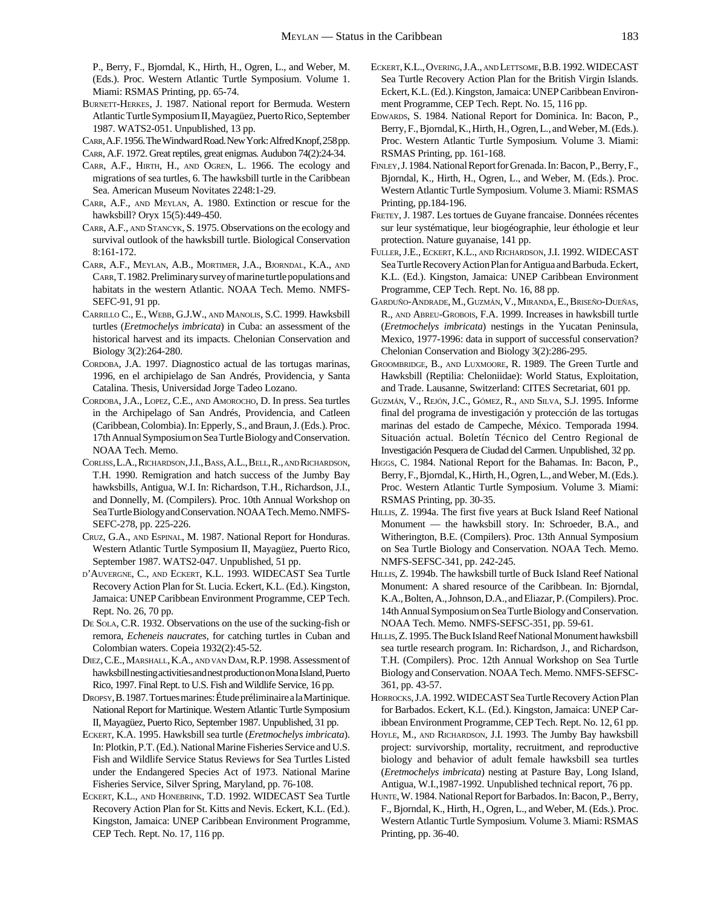P., Berry, F., Bjorndal, K., Hirth, H., Ogren, L., and Weber, M. (Eds.). Proc. Western Atlantic Turtle Symposium. Volume 1. Miami: RSMAS Printing, pp. 65-74.

- BURNETT-HERKES, J. 1987. National report for Bermuda. Western Atlantic Turtle Symposium II, Mayagüez, Puerto Rico, September 1987. WATS2-051. Unpublished, 13 pp.
- CARR, A.F. 1956. The Windward Road. New York: Alfred Knopf, 258 pp.

CARR, A.F. 1972. Great reptiles, great enigmas*.* Audubon 74(2):24-34.

- CARR, A.F., HIRTH, H., AND OGREN, L. 1966. The ecology and migrations of sea turtles, 6. The hawksbill turtle in the Caribbean Sea. American Museum Novitates 2248:1-29.
- CARR, A.F., AND MEYLAN, A. 1980. Extinction or rescue for the hawksbill? Oryx 15(5):449-450.
- CARR, A.F., AND STANCYK, S. 1975. Observations on the ecology and survival outlook of the hawksbill turtle. Biological Conservation 8:161-172.
- CARR, A.F., MEYLAN, A.B., MORTIMER, J.A., BJORNDAL, K.A., AND CARR, T. 1982. Preliminary survey of marine turtle populations and habitats in the western Atlantic. NOAA Tech. Memo. NMFS-SEFC-91, 91 pp.
- CARRILLO C., E., WEBB, G.J.W., AND MANOLIS, S.C. 1999. Hawksbill turtles (*Eretmochelys imbricata*) in Cuba: an assessment of the historical harvest and its impacts. Chelonian Conservation and Biology 3(2):264-280.
- CORDOBA, J.A. 1997. Diagnostico actual de las tortugas marinas, 1996, en el archipielago de San Andrés, Providencia, y Santa Catalina. Thesis, Universidad Jorge Tadeo Lozano.
- CORDOBA, J.A., LOPEZ, C.E., AND AMOROCHO, D. In press. Sea turtles in the Archipelago of San Andrés, Providencia, and Catleen (Caribbean, Colombia). In: Epperly, S., and Braun, J. (Eds.). Proc. 17th Annual Symposium on Sea Turtle Biology and Conservation. NOAA Tech. Memo.
- CORLISS, L.A., RICHARDSON, J.I., BASS, A.L., BELL, R., AND RICHARDSON, T.H. 1990. Remigration and hatch success of the Jumby Bay hawksbills, Antigua, W.I. In: Richardson, T.H., Richardson, J.I., and Donnelly, M. (Compilers). Proc. 10th Annual Workshop on Sea Turtle Biology and Conservation. NOAA Tech. Memo. NMFS-SEFC-278, pp. 225-226.
- CRUZ, G.A., AND ESPINAL, M. 1987. National Report for Honduras. Western Atlantic Turtle Symposium II, Mayagüez, Puerto Rico, September 1987. WATS2-047. Unpublished, 51 pp.
- D'AUVERGNE, C., AND ECKERT, K.L. 1993. WIDECAST Sea Turtle Recovery Action Plan for St. Lucia. Eckert, K.L. (Ed.). Kingston, Jamaica: UNEP Caribbean Environment Programme, CEP Tech. Rept. No. 26, 70 pp.
- DE SOLA, C.R. 1932. Observations on the use of the sucking-fish or remora, *Echeneis naucrates*, for catching turtles in Cuban and Colombian waters. Copeia 1932(2):45-52.
- DIEZ, C.E., MARSHALL, K.A., AND VAN DAM, R.P. 1998. Assessment of hawksbill nesting activities and nest production on Mona Island, Puerto Rico, 1997. Final Rept. to U.S. Fish and Wildlife Service, 16 pp.
- DROPSY, B. 1987. Tortues marines: Étude préliminaire a la Martinique. National Report for Martinique. Western Atlantic Turtle Symposium II, Mayagüez, Puerto Rico, September 1987. Unpublished, 31 pp.
- ECKERT, K.A. 1995. Hawksbill sea turtle (*Eretmochelys imbricata*). In: Plotkin, P.T. (Ed.). National Marine Fisheries Service and U.S. Fish and Wildlife Service Status Reviews for Sea Turtles Listed under the Endangered Species Act of 1973. National Marine Fisheries Service, Silver Spring, Maryland, pp. 76-108.
- ECKERT, K.L., AND HONEBRINK, T.D. 1992. WIDECAST Sea Turtle Recovery Action Plan for St. Kitts and Nevis. Eckert, K.L. (Ed.). Kingston, Jamaica: UNEP Caribbean Environment Programme, CEP Tech. Rept. No. 17, 116 pp.
- ECKERT, K.L., OVERING, J.A., AND LETTSOME, B.B. 1992. WIDECAST Sea Turtle Recovery Action Plan for the British Virgin Islands. Eckert, K.L. (Ed.). Kingston, Jamaica: UNEP Caribbean Environment Programme, CEP Tech. Rept. No. 15, 116 pp.
- EDWARDS, S. 1984. National Report for Dominica. In: Bacon, P., Berry, F., Bjorndal, K., Hirth, H., Ogren, L., and Weber, M. (Eds.). Proc. Western Atlantic Turtle Symposium*.* Volume 3. Miami: RSMAS Printing, pp. 161-168.
- FINLEY, J. 1984. National Report for Grenada. In: Bacon, P., Berry, F., Bjorndal, K., Hirth, H., Ogren, L., and Weber, M. (Eds.). Proc. Western Atlantic Turtle Symposium. Volume 3. Miami: RSMAS Printing, pp.184-196.
- FRETEY, J. 1987. Les tortues de Guyane francaise. Données récentes sur leur systématique, leur biogéographie, leur éthologie et leur protection. Nature guyanaise, 141 pp.
- FULLER, J.E., ECKERT, K.L., AND RICHARDSON, J.I. 1992. WIDECAST Sea Turtle Recovery Action Plan for Antigua and Barbuda. Eckert, K.L. (Ed.). Kingston, Jamaica: UNEP Caribbean Environment Programme, CEP Tech. Rept. No. 16, 88 pp.
- GARDUÑO-ANDRADE, M., GUZMÁN, V., MIRANDA, E., BRISEÑO-DUEÑAS, R., AND ABREU-GROBOIS, F.A. 1999. Increases in hawksbill turtle (*Eretmochelys imbricata*) nestings in the Yucatan Peninsula, Mexico, 1977-1996: data in support of successful conservation? Chelonian Conservation and Biology 3(2):286-295.
- GROOMBRIDGE, B., AND LUXMOORE, R. 1989. The Green Turtle and Hawksbill (Reptilia: Cheloniidae): World Status, Exploitation, and Trade. Lausanne, Switzerland: CITES Secretariat, 601 pp.
- GUZMÁN, V., REJÓN, J.C., GÓMEZ, R., AND SILVA, S.J. 1995. Informe final del programa de investigación y protección de las tortugas marinas del estado de Campeche, México. Temporada 1994. Situación actual. Boletín Técnico del Centro Regional de Investigación Pesquera de Ciudad del Carmen. Unpublished, 32 pp.
- HIGGS, C. 1984. National Report for the Bahamas. In: Bacon, P., Berry, F., Bjorndal, K., Hirth, H., Ogren, L., and Weber, M. (Eds.). Proc. Western Atlantic Turtle Symposium. Volume 3. Miami: RSMAS Printing, pp. 30-35.
- HILLIS, Z. 1994a. The first five years at Buck Island Reef National Monument — the hawksbill story. In: Schroeder, B.A., and Witherington, B.E. (Compilers). Proc. 13th Annual Symposium on Sea Turtle Biology and Conservation. NOAA Tech. Memo. NMFS-SEFSC-341, pp. 242-245.
- HILLIS, Z. 1994b. The hawksbill turtle of Buck Island Reef National Monument: A shared resource of the Caribbean. In: Bjorndal, K.A., Bolten, A., Johnson, D.A., and Eliazar, P. (Compilers). Proc. 14th Annual Symposium on Sea Turtle Biology and Conservation. NOAA Tech. Memo. NMFS-SEFSC-351, pp. 59-61.
- HILLIS, Z. 1995. The Buck Island Reef National Monument hawksbill sea turtle research program. In: Richardson, J., and Richardson, T.H. (Compilers). Proc. 12th Annual Workshop on Sea Turtle Biology and Conservation. NOAA Tech. Memo. NMFS-SEFSC-361, pp. 43-57.
- HORROCKS, J.A. 1992. WIDECAST Sea Turtle Recovery Action Plan for Barbados. Eckert, K.L. (Ed.). Kingston, Jamaica: UNEP Caribbean Environment Programme, CEP Tech. Rept. No. 12, 61 pp.
- HOYLE, M., AND RICHARDSON, J.I. 1993. The Jumby Bay hawksbill project: survivorship, mortality, recruitment, and reproductive biology and behavior of adult female hawksbill sea turtles (*Eretmochelys imbricata*) nesting at Pasture Bay, Long Island, Antigua, W.I.,1987-1992. Unpublished technical report, 76 pp.
- HUNTE, W. 1984. National Report for Barbados. In: Bacon, P., Berry, F., Bjorndal, K., Hirth, H., Ogren, L., and Weber, M. (Eds.). Proc. Western Atlantic Turtle Symposium*.* Volume 3. Miami: RSMAS Printing, pp. 36-40.